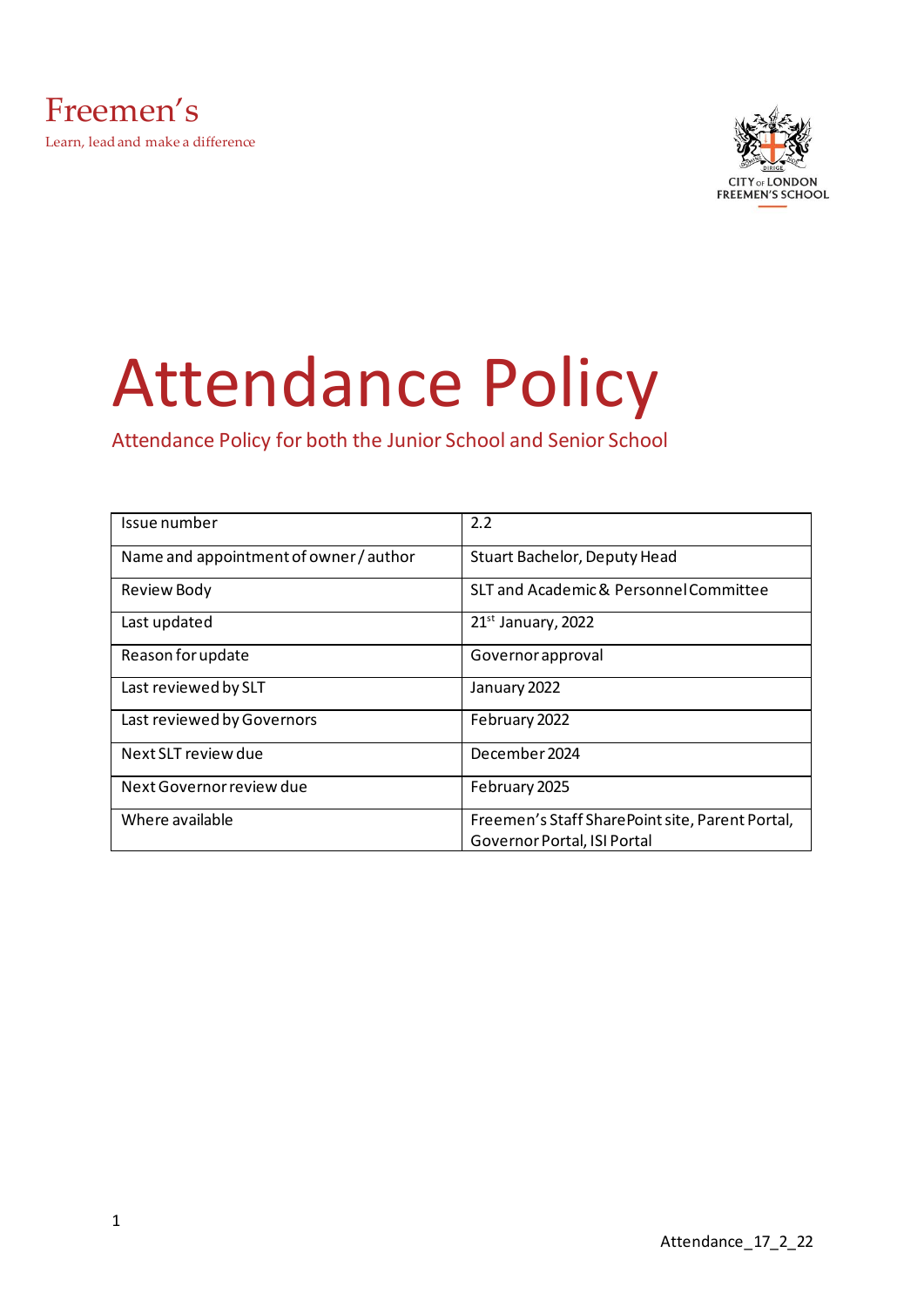

# Attendance Policy

Attendance Policy for both the Junior School and Senior School

| Issue number                           | 2.2                                                                            |
|----------------------------------------|--------------------------------------------------------------------------------|
| Name and appointment of owner / author | Stuart Bachelor, Deputy Head                                                   |
| Review Body                            | SLT and Academic & Personnel Committee                                         |
| Last updated                           | 21 <sup>st</sup> January, 2022                                                 |
| Reason for update                      | Governor approval                                                              |
| Last reviewed by SLT                   | January 2022                                                                   |
| Last reviewed by Governors             | February 2022                                                                  |
| Next SLT review due                    | December 2024                                                                  |
| Next Governor review due               | February 2025                                                                  |
| Where available                        | Freemen's Staff SharePoint site, Parent Portal,<br>Governor Portal, ISI Portal |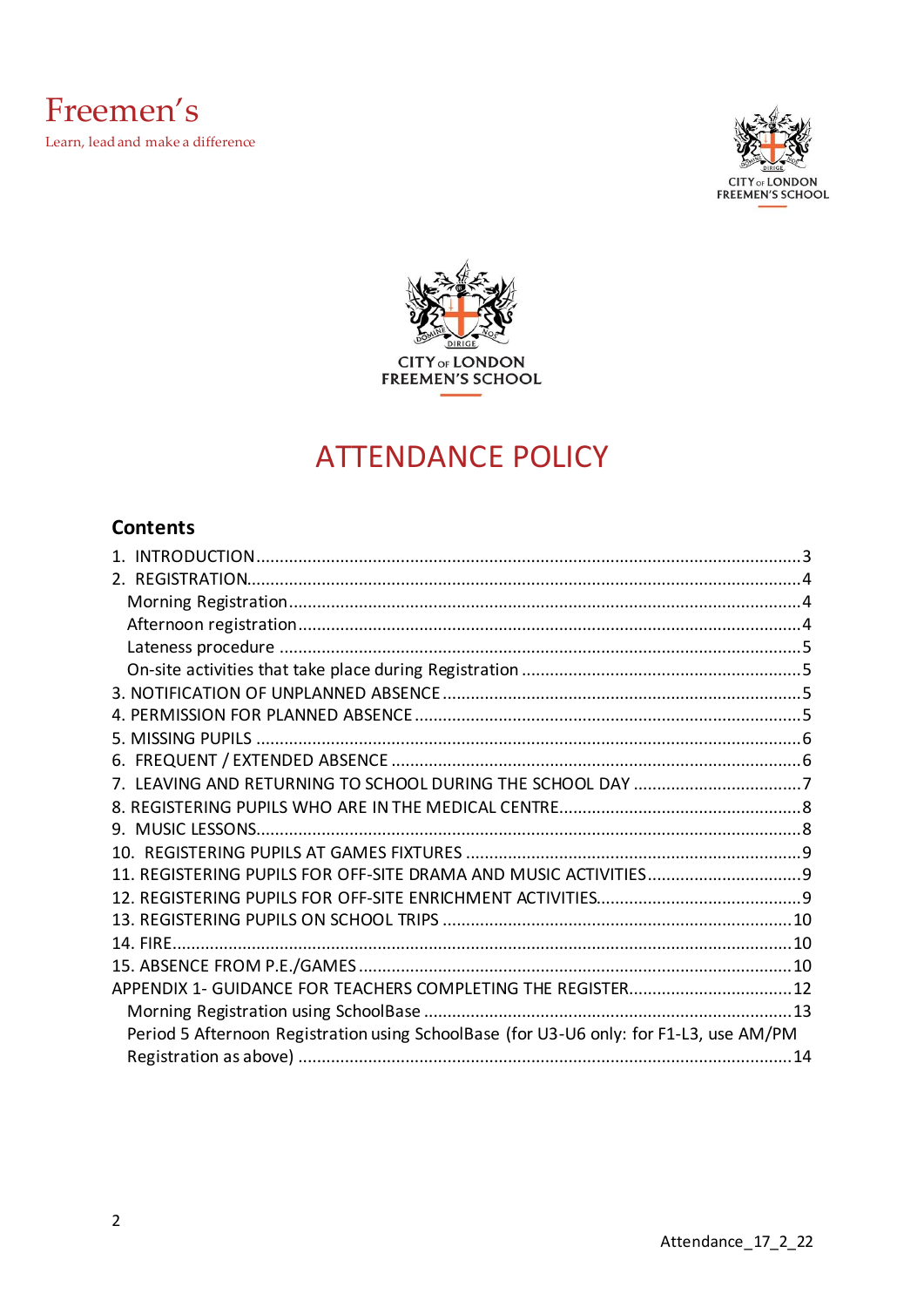



## **ATTENDANCE POLICY**

## **Contents**

| APPENDIX 1- GUIDANCE FOR TEACHERS COMPLETING THE REGISTER 12                           |  |
|----------------------------------------------------------------------------------------|--|
|                                                                                        |  |
| Period 5 Afternoon Registration using SchoolBase (for U3-U6 only: for F1-L3, use AM/PM |  |
|                                                                                        |  |
|                                                                                        |  |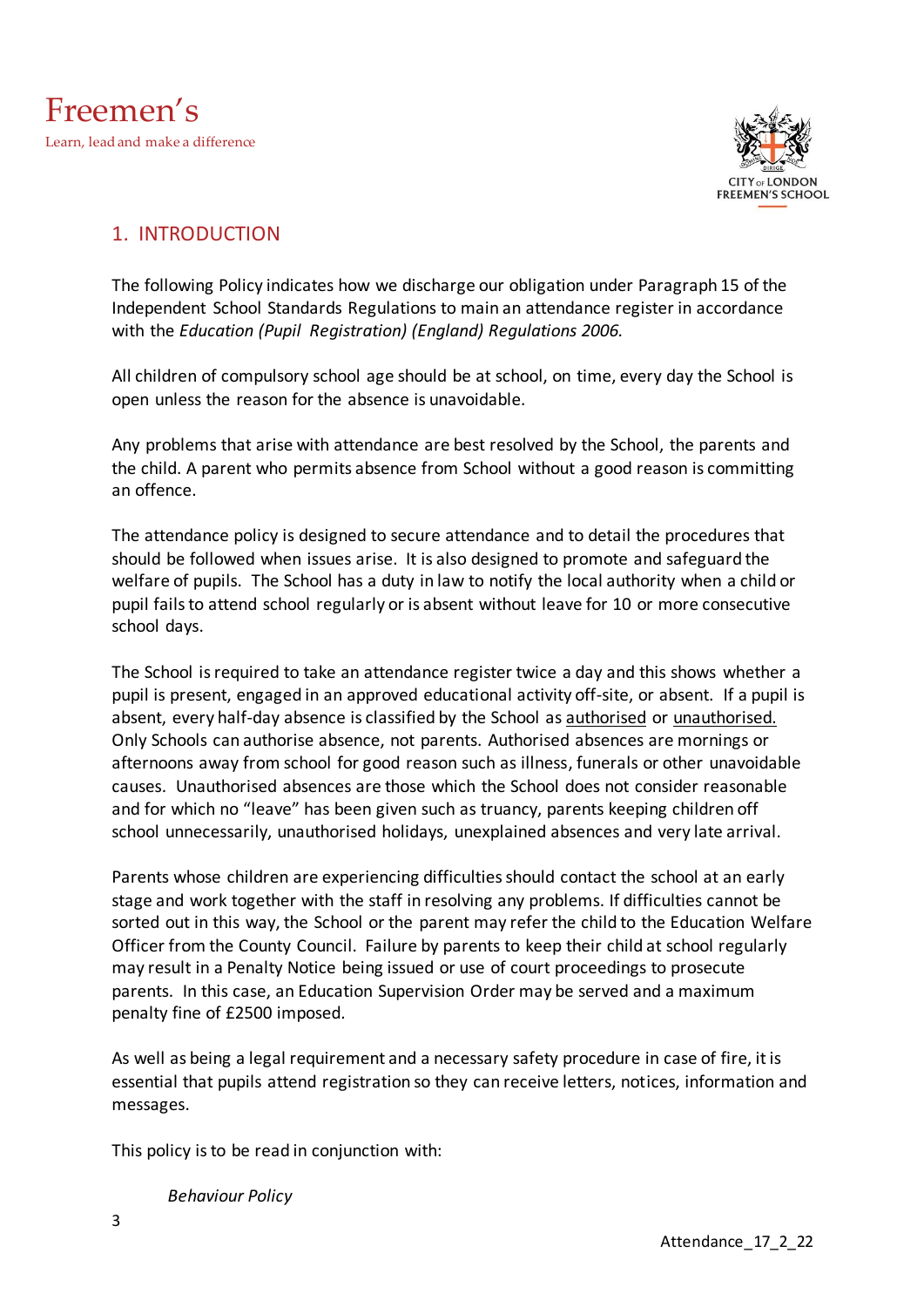



#### <span id="page-2-0"></span>1. INTRODUCTION

The following Policy indicates how we discharge our obligation under Paragraph 15 of the Independent School Standards Regulations to main an attendance register in accordance with the *Education (Pupil Registration) (England) Regulations 2006.*

All children of compulsory school age should be at school, on time, every day the School is open unless the reason for the absence is unavoidable.

Any problems that arise with attendance are best resolved by the School, the parents and the child. A parent who permits absence from School without a good reason is committing an offence.

The attendance policy is designed to secure attendance and to detail the procedures that should be followed when issues arise. It is also designed to promote and safeguard the welfare of pupils. The School has a duty in law to notify the local authority when a child or pupil fails to attend school regularly or is absent without leave for 10 or more consecutive school days.

The School is required to take an attendance register twice a day and this shows whether a pupil is present, engaged in an approved educational activity off-site, or absent. If a pupil is absent, every half-day absence is classified by the School as authorised or unauthorised. Only Schools can authorise absence, not parents. Authorised absences are mornings or afternoons away from school for good reason such as illness, funerals or other unavoidable causes. Unauthorised absences are those which the School does not consider reasonable and for which no "leave" has been given such as truancy, parents keeping children off school unnecessarily, unauthorised holidays, unexplained absences and very late arrival.

Parents whose children are experiencing difficulties should contact the school at an early stage and work together with the staff in resolving any problems. If difficulties cannot be sorted out in this way, the School or the parent may refer the child to the Education Welfare Officer from the County Council. Failure by parents to keep their child at school regularly may result in a Penalty Notice being issued or use of court proceedings to prosecute parents. In this case, an Education Supervision Order may be served and a maximum penalty fine of £2500 imposed.

As well as being a legal requirement and a necessary safety procedure in case of fire, it is essential that pupils attend registration so they can receive letters, notices, information and messages.

This policy is to be read in conjunction with:

*Behaviour Policy*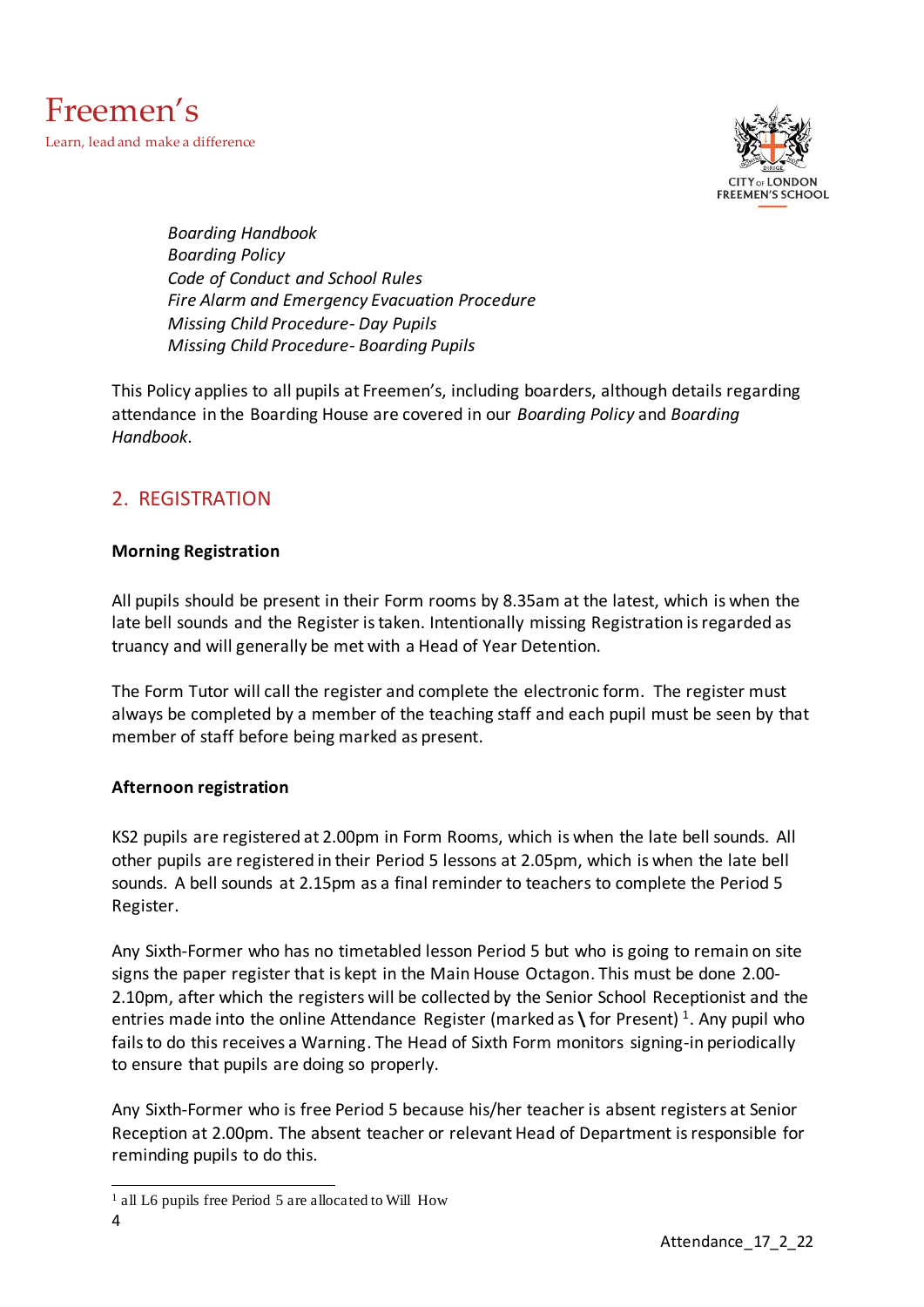

*Boarding Handbook Boarding Policy Code of Conduct and School Rules Fire Alarm and Emergency Evacuation Procedure Missing Child Procedure- Day Pupils Missing Child Procedure- Boarding Pupils*

This Policy applies to all pupils at Freemen's, including boarders, although details regarding attendance in the Boarding House are covered in our *Boarding Policy* and *Boarding Handbook*.

## <span id="page-3-0"></span>2. REGISTRATION

#### <span id="page-3-1"></span>**Morning Registration**

All pupils should be present in their Form rooms by 8.35am at the latest, which is when the late bell sounds and the Register is taken. Intentionally missing Registration is regarded as truancy and will generally be met with a Head of Year Detention.

The Form Tutor will call the register and complete the electronic form. The register must always be completed by a member of the teaching staff and each pupil must be seen by that member of staff before being marked as present.

#### <span id="page-3-2"></span>**Afternoon registration**

KS2 pupils are registered at 2.00pm in Form Rooms, which is when the late bell sounds. All other pupils are registered in their Period 5 lessons at 2.05pm, which is when the late bell sounds. A bell sounds at 2.15pm as a final reminder to teachers to complete the Period 5 Register.

Any Sixth-Former who has no timetabled lesson Period 5 but who is going to remain on site signs the paper register that is kept in the Main House Octagon. This must be done 2.00- 2.10pm, after which the registers will be collected by the Senior School Receptionist and the entries made into the online Attendance Register (marked as **\** for Present) <sup>1</sup>. Any pupil who fails to do this receives a Warning. The Head of Sixth Form monitors signing-in periodically to ensure that pupils are doing so properly.

Any Sixth-Former who is free Period 5 because his/her teacher is absent registers at Senior Reception at 2.00pm. The absent teacher or relevant Head of Department is responsible for reminding pupils to do this.

<sup>1</sup> all L6 pupils free Period 5 are allocated to Will How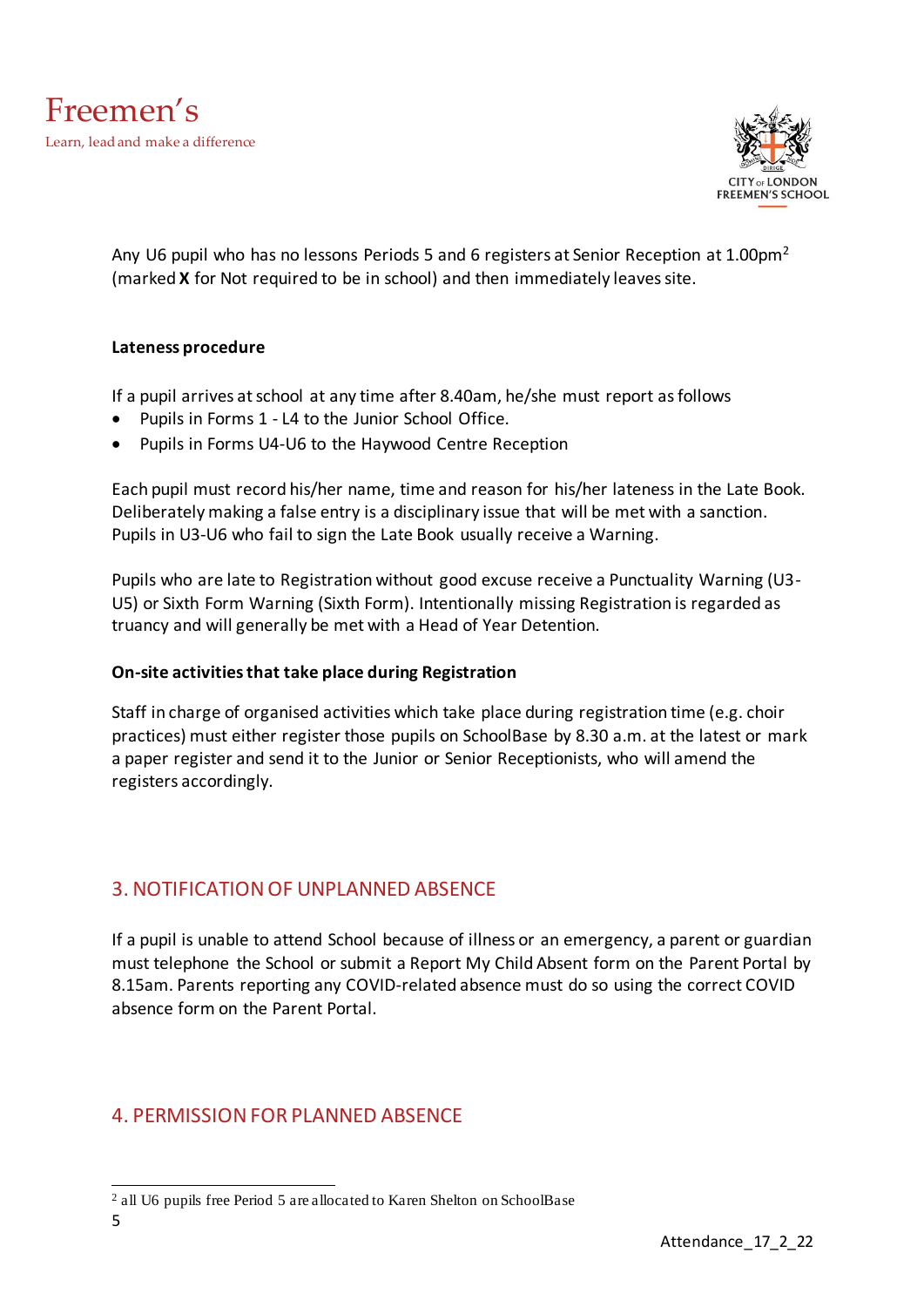

Any U6 pupil who has no lessons Periods 5 and 6 registers at Senior Reception at 1.00pm<sup>2</sup> (marked **X** for Not required to be in school) and then immediately leaves site.

#### <span id="page-4-0"></span>**Lateness procedure**

If a pupil arrives at school at any time after 8.40am, he/she must report as follows

- Pupils in Forms 1 L4 to the Junior School Office.
- Pupils in Forms U4-U6 to the Haywood Centre Reception

Each pupil must record his/her name, time and reason for his/her lateness in the Late Book. Deliberately making a false entry is a disciplinary issue that will be met with a sanction. Pupils in U3-U6 who fail to sign the Late Book usually receive a Warning.

Pupils who are late to Registration without good excuse receive a Punctuality Warning (U3- U5) or Sixth Form Warning (Sixth Form). Intentionally missing Registration is regarded as truancy and will generally be met with a Head of Year Detention.

#### <span id="page-4-1"></span>**On-site activities that take place during Registration**

Staff in charge of organised activities which take place during registration time (e.g. choir practices) must either register those pupils on SchoolBase by 8.30 a.m. at the latest or mark a paper register and send it to the Junior or Senior Receptionists, who will amend the registers accordingly.

#### <span id="page-4-2"></span>3. NOTIFICATION OF UNPLANNED ABSENCE

If a pupil is unable to attend School because of illness or an emergency, a parent or guardian must telephone the School or submit a Report My Child Absent form on the Parent Portal by 8.15am. Parents reporting any COVID-related absence must do so using the correct COVID absence form on the Parent Portal.

#### <span id="page-4-3"></span>4. PERMISSION FOR PLANNED ABSENCE

<sup>2</sup> all U6 pupils free Period 5 are allocated to Karen Shelton on SchoolBase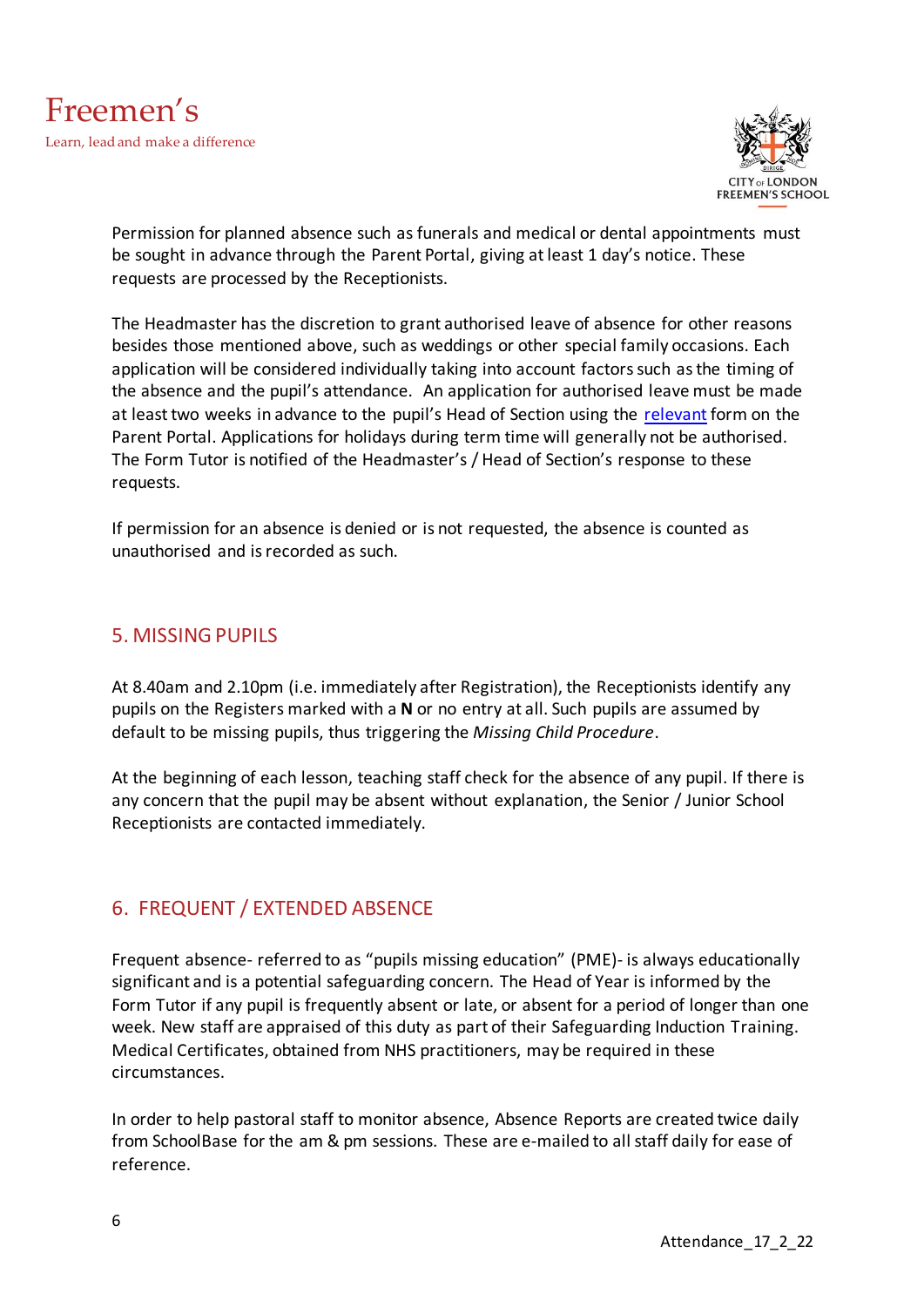

Permission for planned absence such as funerals and medical or dental appointments must be sought in advance through the Parent Portal, giving at least 1 day's notice. These requests are processed by the Receptionists.

The Headmaster has the discretion to grant authorised leave of absence for other reasons besides those mentioned above, such as weddings or other special family occasions. Each application will be considered individually taking into account factors such as the timing of the absence and the pupil's attendance. An application for authorised leave must be made at least two weeks in advance to the pupil's Head of Section using the<relevant> form on the Parent Portal. Applications for holidays during term time will generally not be authorised. The Form Tutor is notified of the Headmaster's / Head of Section's response to these requests.

If permission for an absence is denied or is not requested, the absence is counted as unauthorised and isrecorded as such.

#### <span id="page-5-0"></span>5. MISSING PUPILS

At 8.40am and 2.10pm (i.e. immediately after Registration), the Receptionists identify any pupils on the Registers marked with a **N** or no entry at all. Such pupils are assumed by default to be missing pupils, thus triggering the *Missing Child Procedure*.

At the beginning of each lesson, teaching staff check for the absence of any pupil. If there is any concern that the pupil may be absent without explanation, the Senior / Junior School Receptionists are contacted immediately.

#### <span id="page-5-1"></span>6. FREQUENT / EXTENDED ABSENCE

Frequent absence- referred to as "pupils missing education" (PME)- is always educationally significant and is a potential safeguarding concern. The Head of Year is informed by the Form Tutor if any pupil is frequently absent or late, or absent for a period of longer than one week. New staff are appraised of this duty as part of their Safeguarding Induction Training. Medical Certificates, obtained from NHS practitioners, may be required in these circumstances.

In order to help pastoral staff to monitor absence, Absence Reports are created twice daily from SchoolBase for the am & pm sessions. These are e-mailed to all staff daily for ease of reference.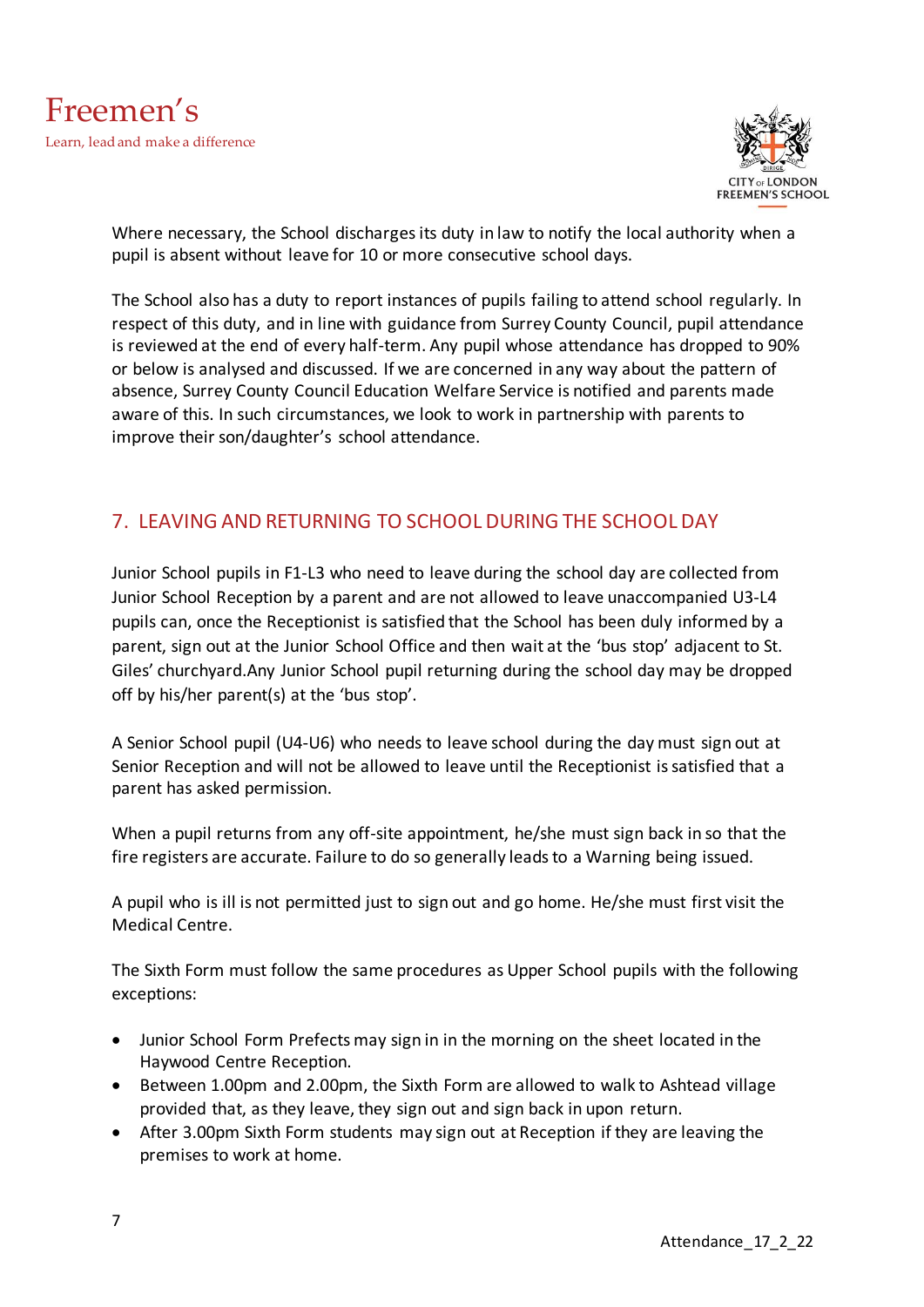

Where necessary, the School discharges its duty in law to notify the local authority when a pupil is absent without leave for 10 or more consecutive school days.

The School also has a duty to report instances of pupils failing to attend school regularly. In respect of this duty, and in line with guidance from Surrey County Council, pupil attendance is reviewed at the end of every half-term. Any pupil whose attendance has dropped to 90% or below is analysed and discussed. If we are concerned in any way about the pattern of absence, Surrey County Council Education Welfare Service is notified and parents made aware of this. In such circumstances, we look to work in partnership with parents to improve their son/daughter's school attendance.

## <span id="page-6-0"></span>7. LEAVING AND RETURNING TO SCHOOL DURING THE SCHOOL DAY

Junior School pupils in F1-L3 who need to leave during the school day are collected from Junior School Reception by a parent and are not allowed to leave unaccompanied U3-L4 pupils can, once the Receptionist is satisfied that the School has been duly informed by a parent, sign out at the Junior School Office and then wait at the 'bus stop' adjacent to St. Giles' churchyard.Any Junior School pupil returning during the school day may be dropped off by his/her parent(s) at the 'bus stop'.

A Senior School pupil (U4-U6) who needs to leave school during the day must sign out at Senior Reception and will not be allowed to leave until the Receptionist is satisfied that a parent has asked permission.

When a pupil returns from any off-site appointment, he/she must sign back in so that the fire registers are accurate. Failure to do so generally leads to a Warning being issued.

A pupil who is ill is not permitted just to sign out and go home. He/she must first visit the Medical Centre.

The Sixth Form must follow the same procedures as Upper School pupils with the following exceptions:

- Junior School Form Prefects may sign in in the morning on the sheet located in the Haywood Centre Reception.
- Between 1.00pm and 2.00pm, the Sixth Form are allowed to walk to Ashtead village provided that, as they leave, they sign out and sign back in upon return.
- After 3.00pm Sixth Form students may sign out at Reception if they are leaving the premises to work at home.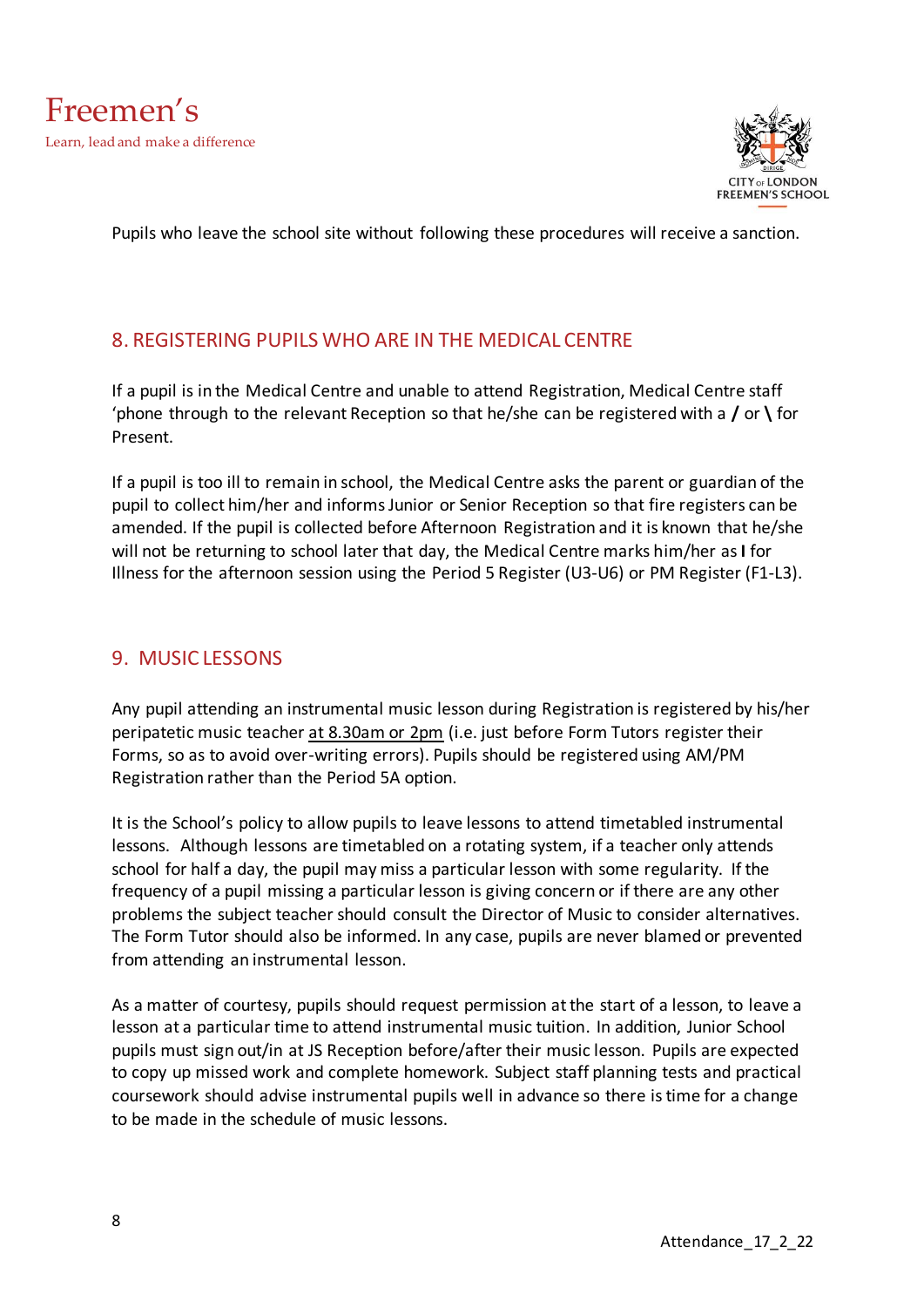

Pupils who leave the school site without following these procedures will receive a sanction.

#### <span id="page-7-0"></span>8. REGISTERING PUPILS WHO ARE IN THE MEDICAL CENTRE

If a pupil is in the Medical Centre and unable to attend Registration, Medical Centre staff 'phone through to the relevant Reception so that he/she can be registered with a **/** or **\** for Present.

If a pupil is too ill to remain in school, the Medical Centre asks the parent or guardian of the pupil to collect him/her and informs Junior or Senior Reception so that fire registers can be amended. If the pupil is collected before Afternoon Registration and it is known that he/she will not be returning to school later that day, the Medical Centre marks him/her as **I** for Illness for the afternoon session using the Period 5 Register (U3-U6) or PM Register (F1-L3).

#### <span id="page-7-1"></span>9. MUSIC LESSONS

Any pupil attending an instrumental music lesson during Registration is registered by his/her peripatetic music teacher at 8.30am or 2pm (i.e. just before Form Tutors register their Forms, so as to avoid over-writing errors). Pupils should be registered using AM/PM Registration rather than the Period 5A option.

It is the School's policy to allow pupils to leave lessons to attend timetabled instrumental lessons. Although lessons are timetabled on a rotating system, if a teacher only attends school for half a day, the pupil may miss a particular lesson with some regularity. If the frequency of a pupil missing a particular lesson is giving concern or if there are any other problems the subject teacher should consult the Director of Music to consider alternatives. The Form Tutor should also be informed. In any case, pupils are never blamed or prevented from attending an instrumental lesson.

As a matter of courtesy, pupils should request permission at the start of a lesson, to leave a lesson at a particular time to attend instrumental music tuition. In addition, Junior School pupils must sign out/in at JS Reception before/after their music lesson. Pupils are expected to copy up missed work and complete homework. Subject staff planning tests and practical coursework should advise instrumental pupils well in advance so there is time for a change to be made in the schedule of music lessons.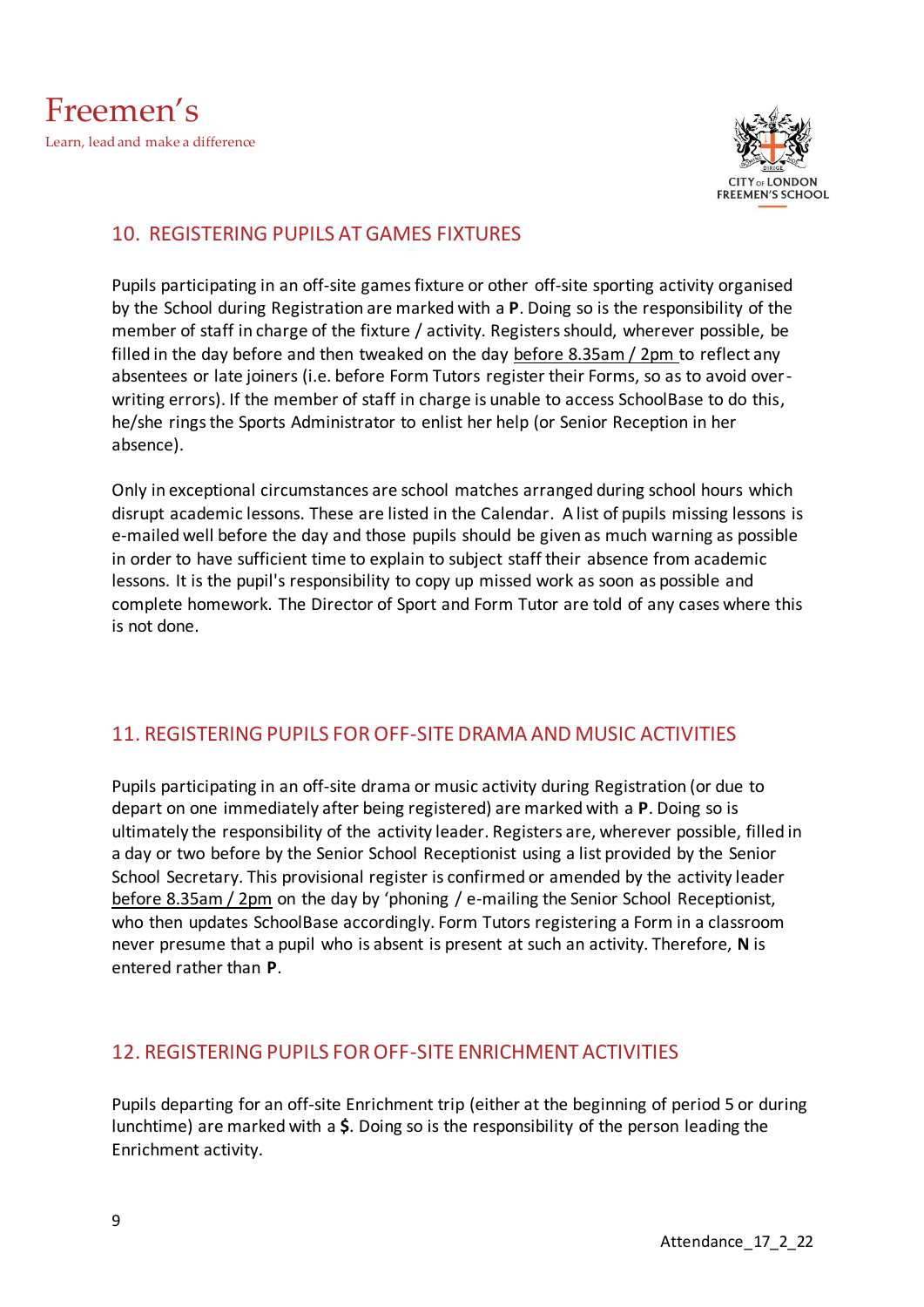

## <span id="page-8-0"></span>10. REGISTERING PUPILS AT GAMES FIXTURES

Pupils participating in an off-site games fixture or other off-site sporting activity organised by the School during Registration are marked with a **P**. Doing so is the responsibility of the member of staff in charge of the fixture / activity. Registers should, wherever possible, be filled in the day before and then tweaked on the day before 8.35am / 2pm to reflect any absentees or late joiners (i.e. before Form Tutors register their Forms, so as to avoid overwriting errors). If the member of staff in charge is unable to access SchoolBase to do this, he/she rings the Sports Administrator to enlist her help (or Senior Reception in her absence).

Only in exceptional circumstances are school matches arranged during school hours which disrupt academic lessons. These are listed in the Calendar. A list of pupils missing lessons is e-mailed well before the day and those pupils should be given as much warning as possible in order to have sufficient time to explain to subject staff their absence from academic lessons. It is the pupil's responsibility to copy up missed work as soon as possible and complete homework. The Director of Sport and Form Tutor are told of any cases where this is not done.

## <span id="page-8-1"></span>11. REGISTERING PUPILS FOR OFF-SITE DRAMA AND MUSIC ACTIVITIES

Pupils participating in an off-site drama or music activity during Registration (or due to depart on one immediately after being registered) are marked with a **P**. Doing so is ultimately the responsibility of the activity leader. Registers are, wherever possible, filled in a day or two before by the Senior School Receptionist using a list provided by the Senior School Secretary. This provisional register is confirmed or amended by the activity leader before 8.35am / 2pm on the day by 'phoning / e-mailing the Senior School Receptionist, who then updates SchoolBase accordingly. Form Tutors registering a Form in a classroom never presume that a pupil who is absent is present at such an activity. Therefore, **N** is entered rather than **P**.

#### <span id="page-8-2"></span>12. REGISTERING PUPILS FOR OFF-SITE ENRICHMENT ACTIVITIES

Pupils departing for an off-site Enrichment trip (either at the beginning of period 5 or during lunchtime) are marked with a **\$**. Doing so is the responsibility of the person leading the Enrichment activity.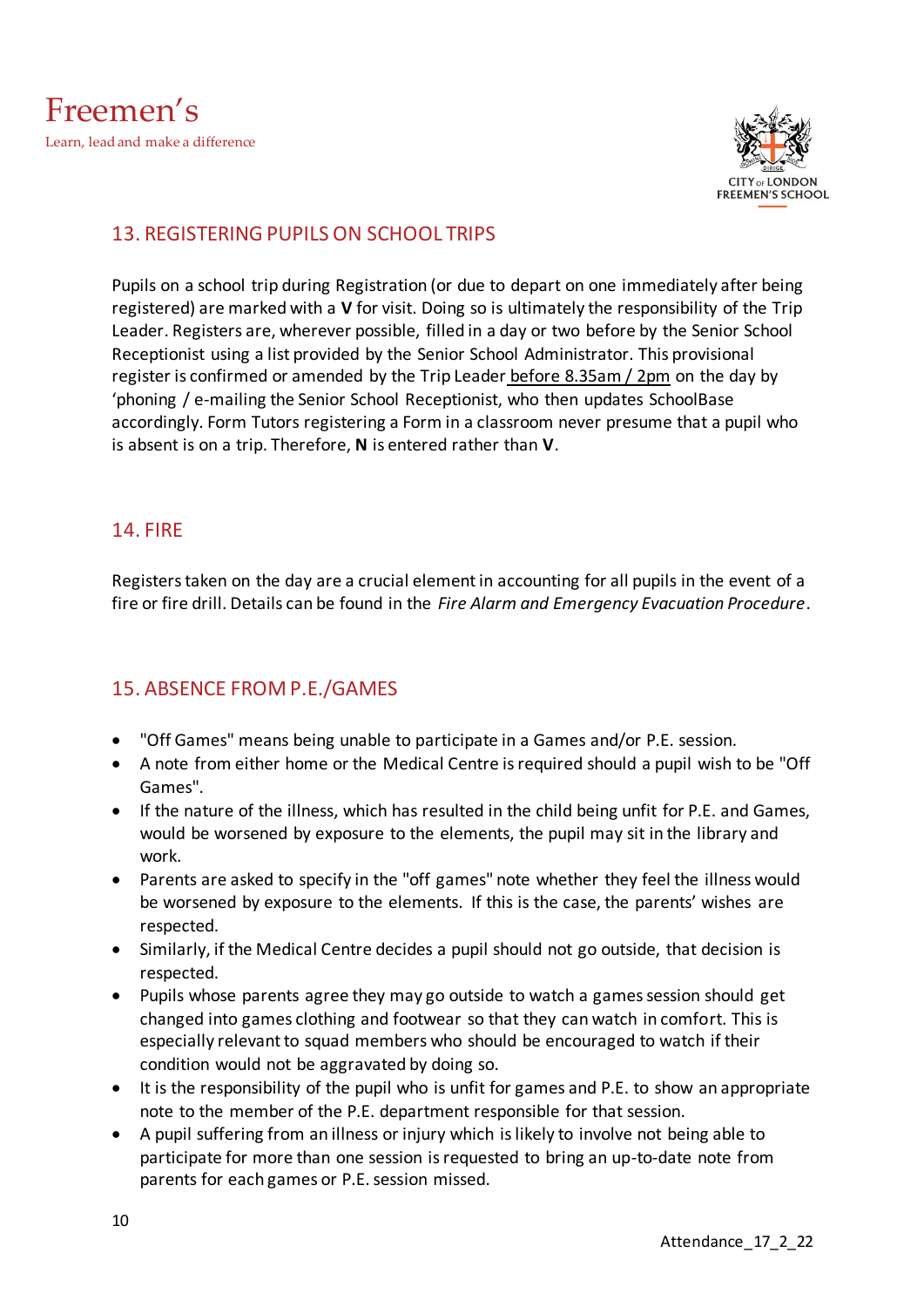

## <span id="page-9-0"></span>13. REGISTERING PUPILS ON SCHOOL TRIPS

Pupils on a school trip during Registration (or due to depart on one immediately after being registered) are marked with a **V** for visit. Doing so is ultimately the responsibility of the Trip Leader. Registers are, wherever possible, filled in a day or two before by the Senior School Receptionist using a list provided by the Senior School Administrator. This provisional register is confirmed or amended by the Trip Leader before 8.35am / 2pm on the day by 'phoning / e-mailing the Senior School Receptionist, who then updates SchoolBase accordingly. Form Tutors registering a Form in a classroom never presume that a pupil who is absent is on a trip. Therefore, **N** is entered rather than **V**.

#### <span id="page-9-1"></span>14. FIRE

Registers taken on the day are a crucial element in accounting for all pupils in the event of a fire or fire drill. Details can be found in the *Fire Alarm and Emergency Evacuation Procedure*.

#### <span id="page-9-2"></span>15. ABSENCE FROM P.E./GAMES

- "Off Games" means being unable to participate in a Games and/or P.E. session.
- A note from either home or the Medical Centre is required should a pupil wish to be "Off Games".
- If the nature of the illness, which has resulted in the child being unfit for P.E. and Games, would be worsened by exposure to the elements, the pupil may sit in the library and work.
- Parents are asked to specify in the "off games" note whether they feel the illness would be worsened by exposure to the elements. If this is the case, the parents' wishes are respected.
- Similarly, if the Medical Centre decides a pupil should not go outside, that decision is respected.
- Pupils whose parents agree they may go outside to watch a games session should get changed into games clothing and footwear so that they can watch in comfort. This is especially relevant to squad members who should be encouraged to watch if their condition would not be aggravated by doing so.
- It is the responsibility of the pupil who is unfit for games and P.E. to show an appropriate note to the member of the P.E. department responsible for that session.
- A pupil suffering from an illness or injury which is likely to involve not being able to participate for more than one session is requested to bring an up-to-date note from parents for each games or P.E. session missed.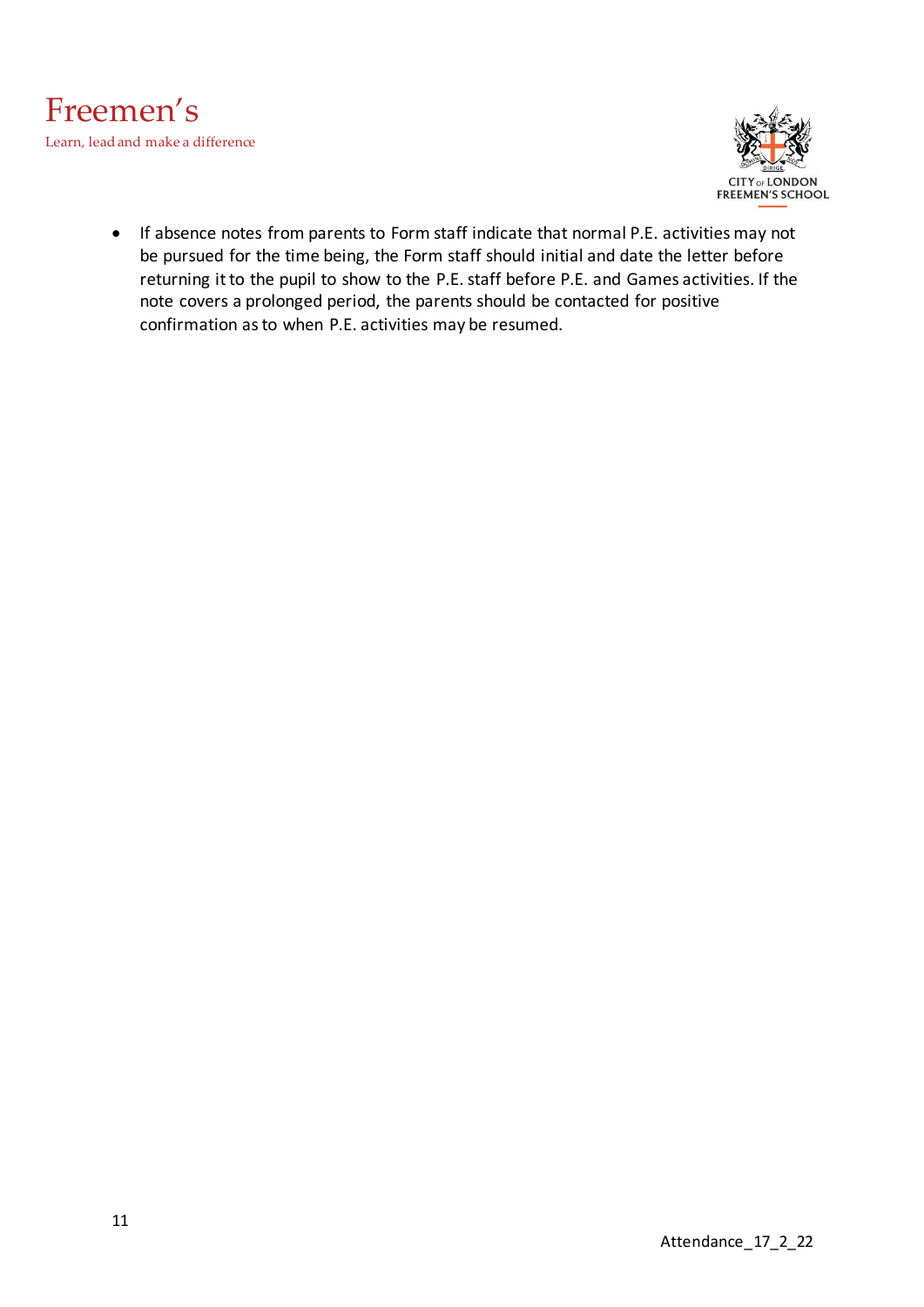



• If absence notes from parents to Form staff indicate that normal P.E. activities may not be pursued for the time being, the Form staff should initial and date the letter before returning it to the pupil to show to the P.E. staff before P.E. and Games activities. If the note covers a prolonged period, the parents should be contacted for positive confirmation as to when P.E. activities may be resumed.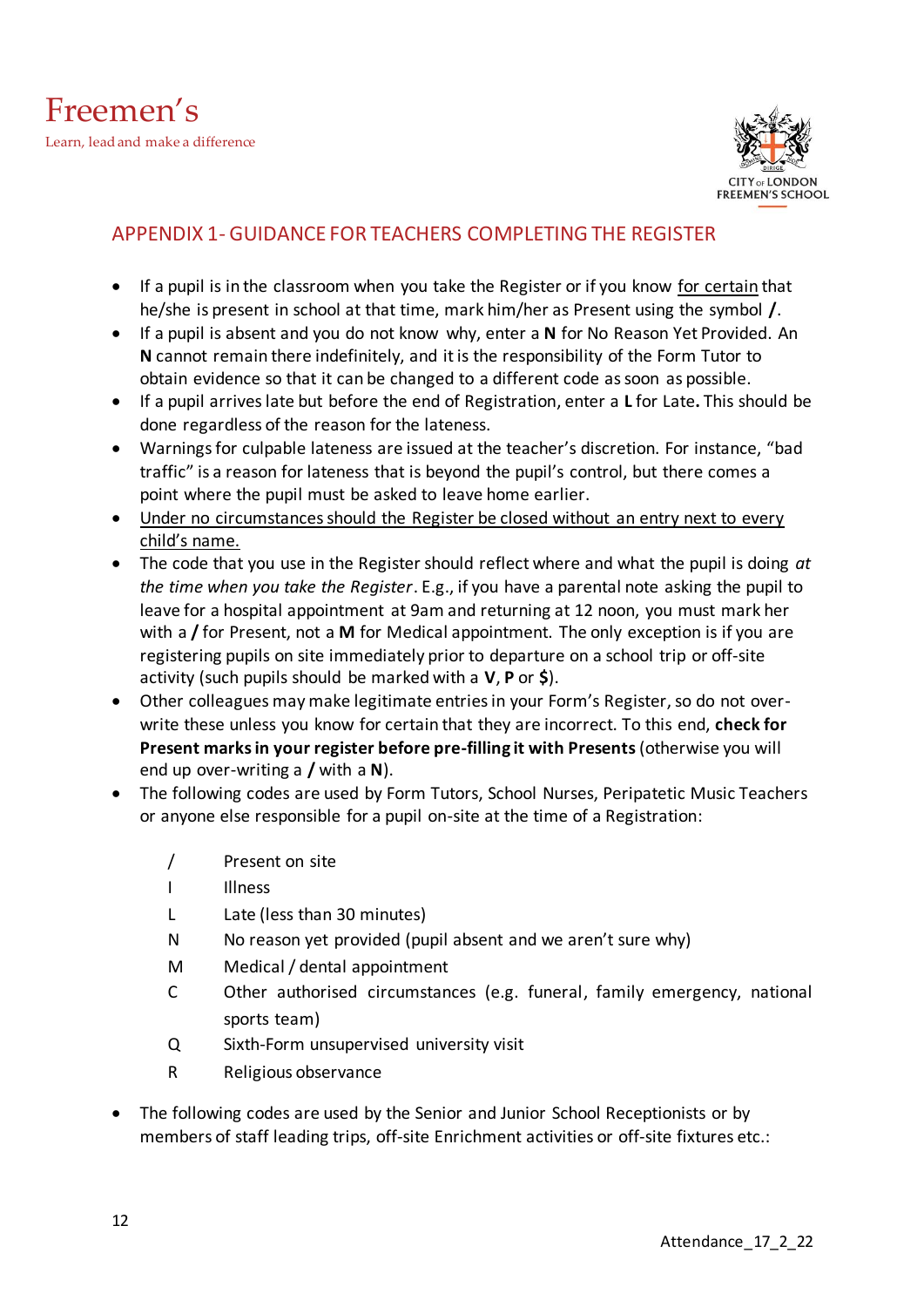

## <span id="page-11-0"></span>APPENDIX 1- GUIDANCE FOR TEACHERS COMPLETING THE REGISTER

- If a pupil is in the classroom when you take the Register or if you know for certain that he/she is present in school at that time, mark him/her as Present using the symbol **/**.
- If a pupil is absent and you do not know why, enter a **N** for No Reason Yet Provided. An **N** cannot remain there indefinitely, and it is the responsibility of the Form Tutor to obtain evidence so that it can be changed to a different code as soon as possible.
- If a pupil arriveslate but before the end of Registration, enter a **L** for Late**.** This should be done regardless of the reason for the lateness.
- Warnings for culpable lateness are issued at the teacher's discretion. For instance, "bad traffic" is a reason for lateness that is beyond the pupil's control, but there comes a point where the pupil must be asked to leave home earlier.
- Under no circumstances should the Register be closed without an entry next to every child's name.
- The code that you use in the Register should reflect where and what the pupil is doing *at the time when you take the Register*. E.g., if you have a parental note asking the pupil to leave for a hospital appointment at 9am and returning at 12 noon, you must mark her with a **/** for Present, not a **M** for Medical appointment. The only exception is if you are registering pupils on site immediately prior to departure on a school trip or off-site activity (such pupils should be marked with a **V**, **P** or **\$**).
- Other colleagues may make legitimate entries in your Form's Register, so do not overwrite these unless you know for certain that they are incorrect. To this end, **check for Present marks in your register before pre-filling it with Presents** (otherwise you will end up over-writing a **/** with a **N**).
- The following codes are used by Form Tutors, School Nurses, Peripatetic Music Teachers or anyone else responsible for a pupil on-site at the time of a Registration:
	- / Present on site
	- I Illness
	- L Late (less than 30 minutes)
	- N No reason yet provided (pupil absent and we aren't sure why)
	- M Medical / dental appointment
	- C Other authorised circumstances (e.g. funeral, family emergency, national sports team)
	- Q Sixth-Form unsupervised university visit
	- R Religious observance
- The following codes are used by the Senior and Junior School Receptionists or by members of staff leading trips, off-site Enrichment activities or off-site fixtures etc.: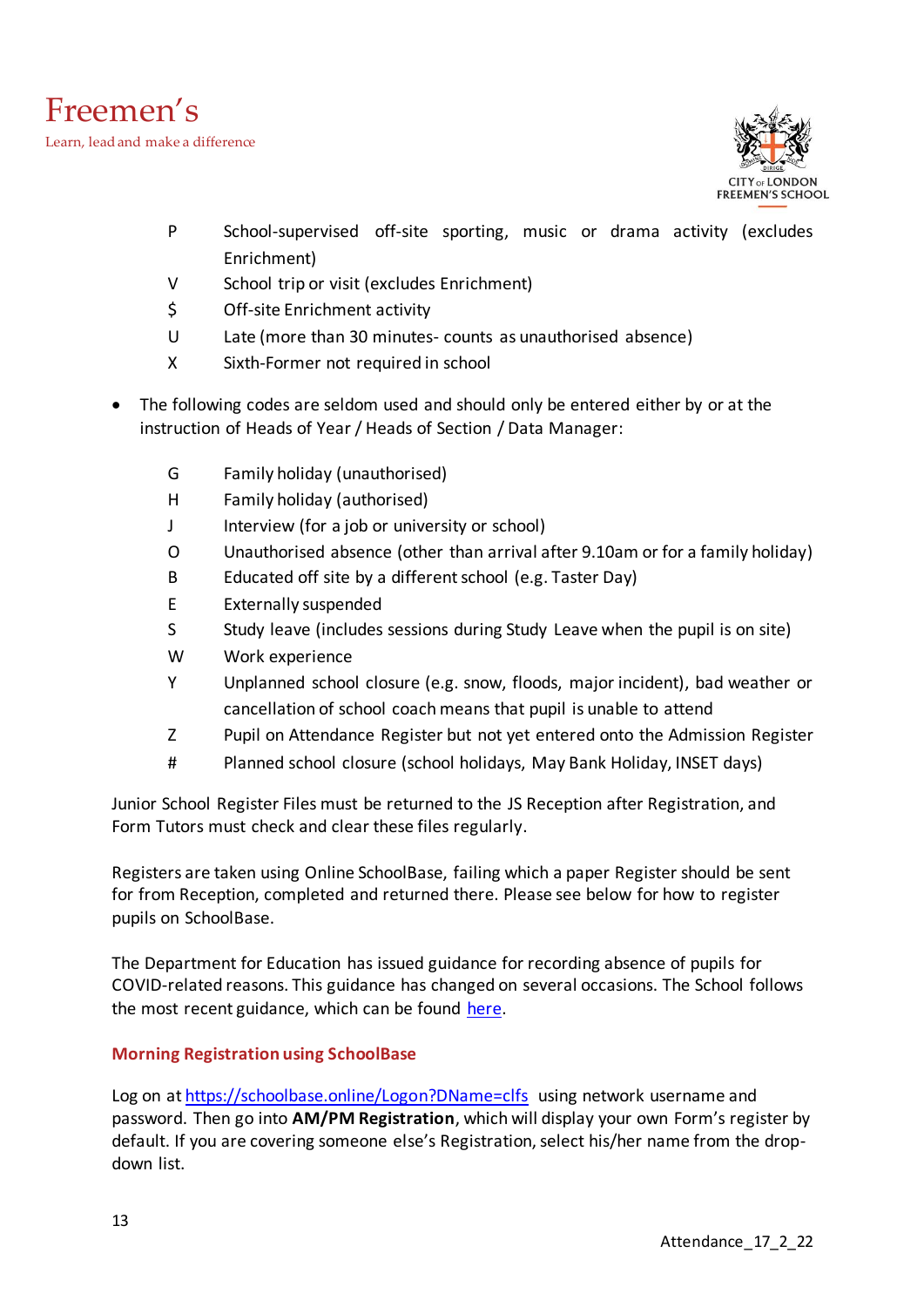

- P School-supervised off-site sporting, music or drama activity (excludes Enrichment)
- V School trip or visit (excludes Enrichment)
- \$ Off-site Enrichment activity
- U Late (more than 30 minutes- counts as unauthorised absence)
- X Sixth-Former not required in school
- The following codes are seldom used and should only be entered either by or at the instruction of Heads of Year / Heads of Section / Data Manager:
	- G Family holiday (unauthorised)
	- H Family holiday (authorised)
	- J Interview (for a job or university or school)
	- O Unauthorised absence (other than arrival after 9.10am or for a family holiday)
	- B Educated off site by a different school (e.g. Taster Day)
	- E Externally suspended
	- S Study leave (includes sessions during Study Leave when the pupil is on site)
	- W Work experience
	- Y Unplanned school closure (e.g. snow, floods, major incident), bad weather or cancellation of school coach means that pupil is unable to attend
	- Z Pupil on Attendance Register but not yet entered onto the Admission Register
	- # Planned school closure (school holidays, May Bank Holiday, INSET days)

Junior School Register Files must be returned to the JS Reception after Registration, and Form Tutors must check and clear these files regularly.

Registers are taken using Online SchoolBase, failing which a paper Register should be sent for from Reception, completed and returned there. Please see below for how to register pupils on SchoolBase.

The Department for Education has issued guidance for recording absence of pupils for COVID-related reasons. This guidance has changed on several occasions. The School follows the most recent guidance, which can be found [here.](https://www.gov.uk/government/publications/school-attendance/addendum-recording-attendance-in-relation-to-coronavirus-covid-19-during-the-2021-to-2022-academic-year)

#### <span id="page-12-0"></span>**Morning Registration using SchoolBase**

Log on a[t https://schoolbase.online/Logon?DName=clfs](https://schoolbase.online/Logon?DName=clfs) using network username and password. Then go into **AM/PM Registration**, which will display your own Form's register by default. If you are covering someone else's Registration, select his/her name from the dropdown list.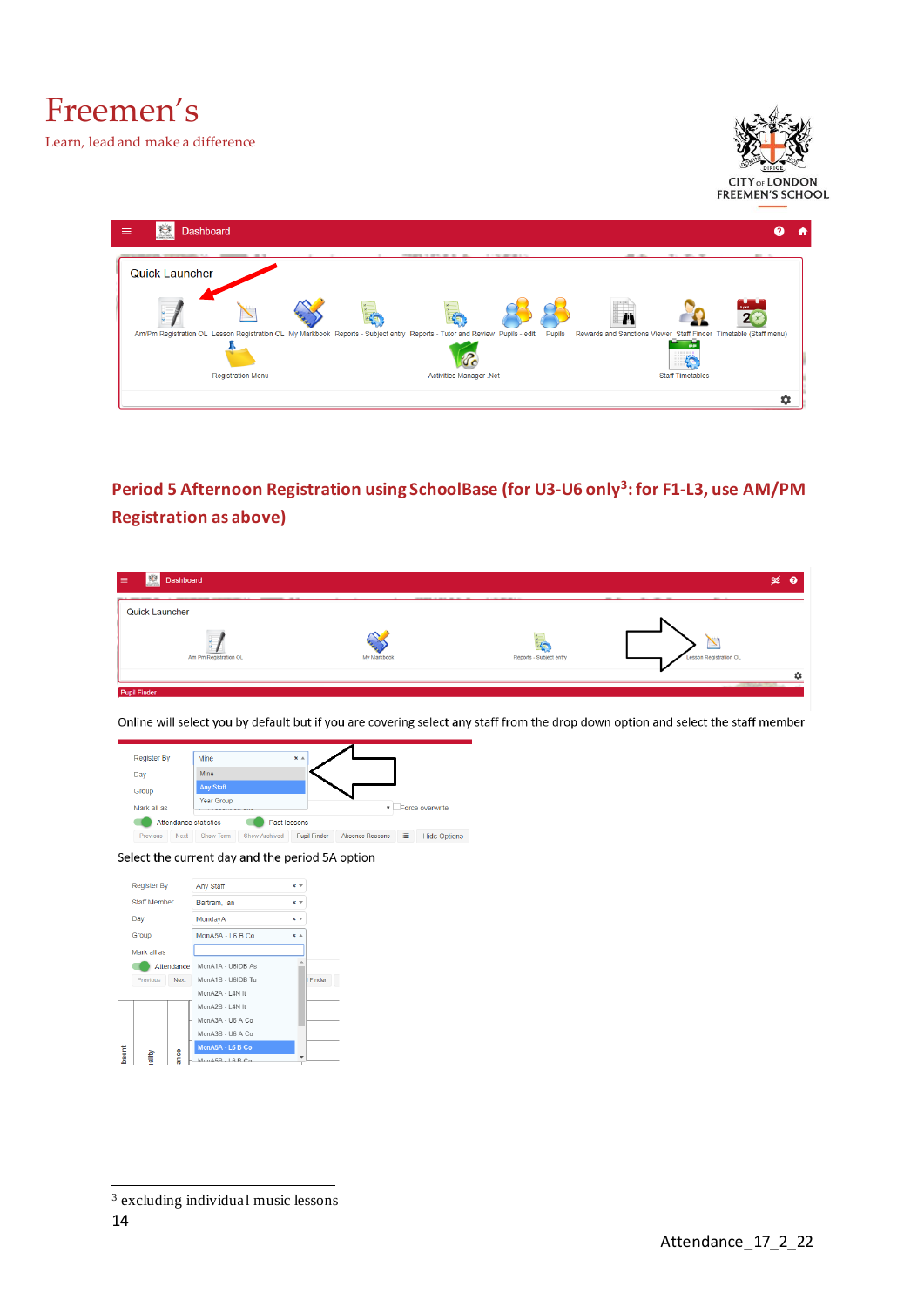Freemen's

Learn, lead and make a difference





<span id="page-13-0"></span>**Period 5 Afternoon Registration using SchoolBase (for U3-U6 only<sup>3</sup> : for F1-L3, use AM/PM Registration as above)**

| <b>Example 3</b> Dashboard<br>$\equiv$                                                                                                                                                                                        |                                                             |                                           |                                    | $\mathscr{L}$ 0 |
|-------------------------------------------------------------------------------------------------------------------------------------------------------------------------------------------------------------------------------|-------------------------------------------------------------|-------------------------------------------|------------------------------------|-----------------|
| the Community Co., 1992 and 2000 and 2000 and 2000 and 2000 and 2000 and 2000 and 2000 and 2000 and 2000 and 2000 and 2000 and 2000 and 2000 and 2000 and 2000 and 2000 and 2000 and 2000 and 2000 and 2000 and 2000 and 2000 | <b>CONTRACTOR</b><br><b>Contractor</b><br><b>CONTRACTOR</b> | <b>PERMIT A REAL PROPERTY AND INCOME.</b> | the contract of the con-<br>------ |                 |
| <b>Quick Launcher</b>                                                                                                                                                                                                         |                                                             |                                           |                                    |                 |
|                                                                                                                                                                                                                               |                                                             |                                           |                                    |                 |
|                                                                                                                                                                                                                               |                                                             |                                           | $\rightarrow$                      |                 |
| Am Pm Registration OL                                                                                                                                                                                                         | My Markbook                                                 | Reports - Subject entry                   | Lesson Registration OL             |                 |
|                                                                                                                                                                                                                               |                                                             |                                           |                                    |                 |
| <b>Pupil Finder</b>                                                                                                                                                                                                           |                                                             |                                           |                                    |                 |

Online will select you by default but if you are covering select any staff from the drop down option and select the staff member



Select the current day and the period 5A option



<sup>3</sup> excluding individual music lessons